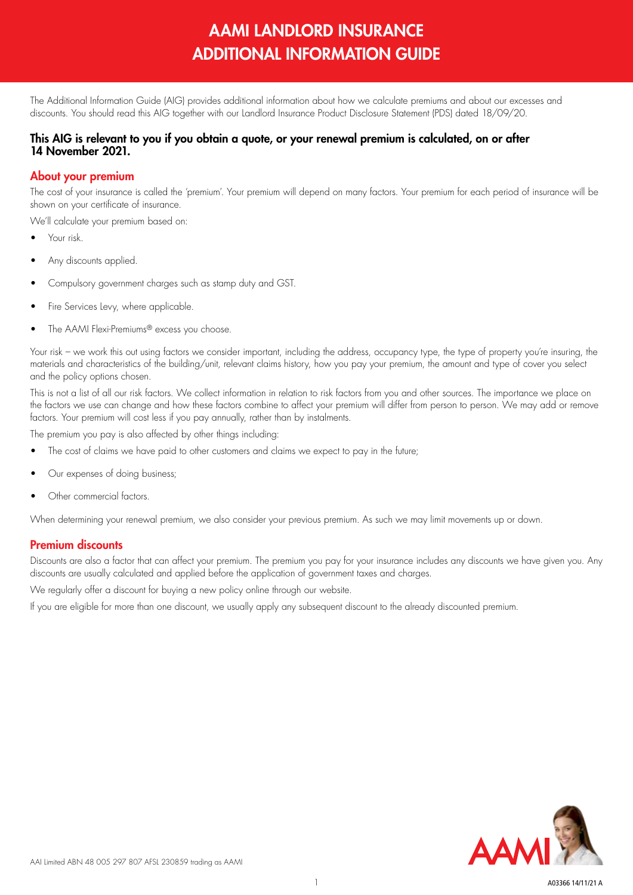# AAMI LANDLORD INSURANCE ADDITIONAL INFORMATION GUIDE

The Additional Information Guide (AIG) provides additional information about how we calculate premiums and about our excesses and discounts. You should read this AIG together with our Landlord Insurance Product Disclosure Statement (PDS) dated 18/09/20.

#### This AIG is relevant to you if you obtain a quote, or your renewal premium is calculated, on or after 14 November 2021.

## About your premium

The cost of your insurance is called the 'premium'. Your premium will depend on many factors. Your premium for each period of insurance will be shown on your certificate of insurance.

We'll calculate your premium based on:

- Your risk.
- Any discounts applied.
- Compulsory government charges such as stamp duty and GST.
- Fire Services Levy, where applicable.
- The AAMI Flexi-Premiums® excess you choose.

Your risk – we work this out using factors we consider important, including the address, occupancy type, the type of property you're insuring, the materials and characteristics of the building/unit, relevant claims history, how you pay your premium, the amount and type of cover you select and the policy options chosen.

This is not a list of all our risk factors. We collect information in relation to risk factors from you and other sources. The importance we place on the factors we use can change and how these factors combine to affect your premium will differ from person to person. We may add or remove factors. Your premium will cost less if you pay annually, rather than by instalments.

The premium you pay is also affected by other things including:

- The cost of claims we have paid to other customers and claims we expect to pay in the future;
- Our expenses of doing business;
- Other commercial factors.

When determining your renewal premium, we also consider your previous premium. As such we may limit movements up or down.

## Premium discounts

Discounts are also a factor that can affect your premium. The premium you pay for your insurance includes any discounts we have given you. Any discounts are usually calculated and applied before the application of government taxes and charges.

We regularly offer a discount for buying a new policy online through our website.

If you are eligible for more than one discount, we usually apply any subsequent discount to the already discounted premium.